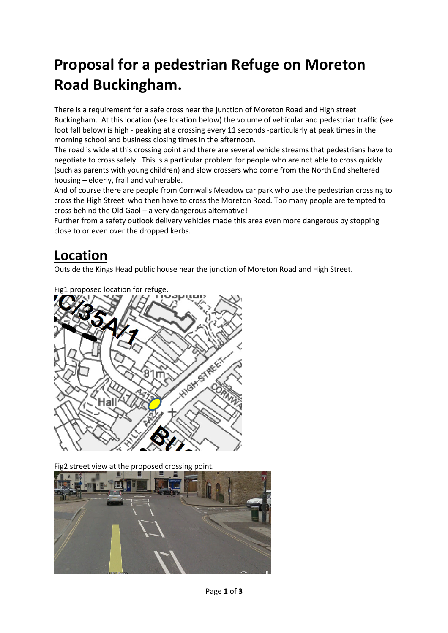# **Proposal for a pedestrian Refuge on Moreton Road Buckingham.**

There is a requirement for a safe cross near the junction of Moreton Road and High street Buckingham. At this location (see location below) the volume of vehicular and pedestrian traffic (see foot fall below) is high - peaking at a crossing every 11 seconds -particularly at peak times in the morning school and business closing times in the afternoon.

The road is wide at this crossing point and there are several vehicle streams that pedestrians have to negotiate to cross safely. This is a particular problem for people who are not able to cross quickly (such as parents with young children) and slow crossers who come from the North End sheltered housing – elderly, frail and vulnerable.

And of course there are people from Cornwalls Meadow car park who use the pedestrian crossing to cross the High Street who then have to cross the Moreton Road. Too many people are tempted to cross behind the Old Gaol – a very dangerous alternative!

Further from a safety outlook delivery vehicles made this area even more dangerous by stopping close to or even over the dropped kerbs.

### **Location**

Outside the Kings Head public house near the junction of Moreton Road and High Street.



Fig2 street view at the proposed crossing point.

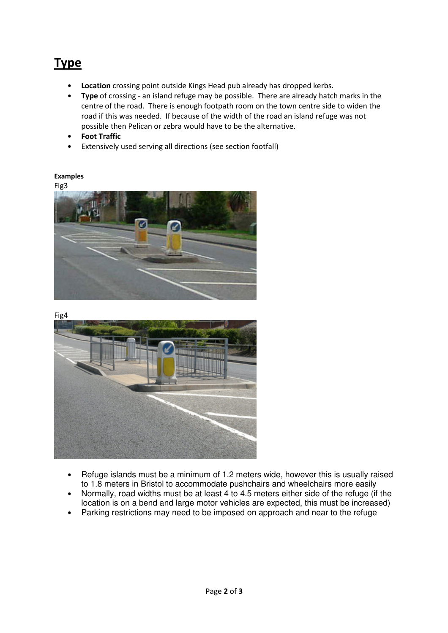## **Type**

- **Location** crossing point outside Kings Head pub already has dropped kerbs.
- **Type** of crossing an island refuge may be possible. There are already hatch marks in the centre of the road. There is enough footpath room on the town centre side to widen the road if this was needed. If because of the width of the road an island refuge was not possible then Pelican or zebra would have to be the alternative.
- **Foot Traffic**
- Extensively used serving all directions (see section footfall)

#### **Examples**





Fig4



- Refuge islands must be a minimum of 1.2 meters wide, however this is usually raised to 1.8 meters in Bristol to accommodate pushchairs and wheelchairs more easily
- Normally, road widths must be at least  $4$  to 4.5 meters either side of the refuge (if the location is on a bend and large motor vehicles are expected, this must be increased)
- Parking restrictions may need to be imposed on approach and near to the refuge